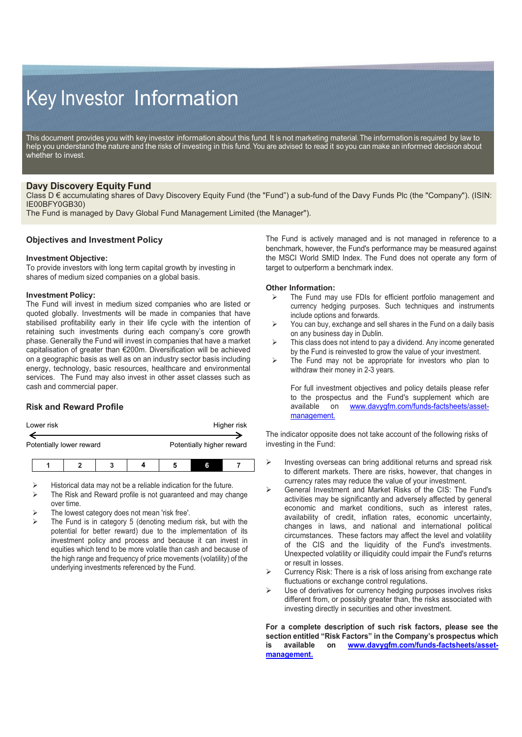# Key Investor Information

This document provides you with key investor information about this fund. It is not marketing material. The information is required by law to help you understand the nature and the risks of investing in this fund. You are advised to read it so you can make an informed decision about whether to invest.

# **Davy Discovery Equity Fund**

Class D € accumulating shares of Davy Discovery Equity Fund (the "Fund") a sub-fund of the Davy Funds Plc (the "Company"). (ISIN: IE00BFY0GB30)

The Fund is managed by Davy Global Fund Management Limited (the Manager").

# **Objectives and Investment Policy**

### **Investment Objective:**

To provide investors with long term capital growth by investing in shares of medium sized companies on a global basis.

### **Investment Policy:**

The Fund will invest in medium sized companies who are listed or quoted globally. Investments will be made in companies that have stabilised profitability early in their life cycle with the intention of retaining such investments during each company's core growth phase. Generally the Fund will invest in companies that have a market capitalisation of greater than €200m. Diversification will be achieved on a geographic basis as well as on an industry sector basis including energy, technology, basic resources, healthcare and environmental services. The Fund may also invest in other asset classes such as cash and commercial paper.

# **Risk and Reward Profile**

|                          | Lower risk |  |  | Higher risk |                           |   |  |  |
|--------------------------|------------|--|--|-------------|---------------------------|---|--|--|
|                          |            |  |  |             |                           |   |  |  |
| Potentially lower reward |            |  |  |             | Potentially higher reward |   |  |  |
|                          |            |  |  |             |                           |   |  |  |
|                          |            |  |  |             |                           | G |  |  |

Historical data may not be a reliable indication for the future.

- The Risk and Reward profile is not guaranteed and may change over time.
- The lowest category does not mean 'risk free'.
- The Fund is in category 5 (denoting medium risk, but with the potential for better reward) due to the implementation of its investment policy and process and because it can invest in equities which tend to be more volatile than cash and because of the high range and frequency of price movements (volatility) of the underlying investments referenced by the Fund.

The Fund is actively managed and is not managed in reference to a benchmark, however, the Fund's performance may be measured against the MSCI World SMID Index. The Fund does not operate any form of target to outperform a benchmark index.

### **Other Information:**

- The Fund may use FDIs for efficient portfolio management and currency hedging purposes. Such techniques and instruments include options and forwards.
- $\triangleright$  You can buy, exchange and sell shares in the Fund on a daily basis on any business day in Dublin.
- > This class does not intend to pay a dividend. Any income generated by the Fund is reinvested to grow the value of your investment.
- $\triangleright$  The Fund may not be appropriate for investors who plan to withdraw their money in 2-3 years.

For full investment objectives and policy details please refer to the prospectus and the Fund's supplement which are available on www.dayvorfm.com/funds-factsheets/asset[www.davygfm.com/funds-factsheets/asset](http://www.davygfm.com/funds-factsheets/asset-management.)[management.](http://www.davygfm.com/funds-factsheets/asset-management.)

The indicator opposite does not take account of the following risks of investing in the Fund:

- $\triangleright$  Investing overseas can bring additional returns and spread risk to different markets. There are risks, however, that changes in currency rates may reduce the value of your investment.
- General Investment and Market Risks of the CIS: The Fund's activities may be significantly and adversely affected by general economic and market conditions, such as interest rates, availability of credit, inflation rates, economic uncertainty, changes in laws, and national and international political circumstances. These factors may affect the level and volatility of the CIS and the liquidity of the Fund's investments. Unexpected volatility or illiquidity could impair the Fund's returns or result in losses.
- $\triangleright$  Currency Risk: There is a risk of loss arising from exchange rate fluctuations or exchange control regulations.
- $\triangleright$  Use of derivatives for currency hedging purposes involves risks different from, or possibly greater than, the risks associated with investing directly in securities and other investment.

**For a complete description of such risk factors, please see the section entitled "Risk Factors" in the Company's prospectus which is available on [www.davygfm.com/funds-factsheets/asset](http://www.davygfm.com/funds-factsheets/asset-management.)[management.](http://www.davygfm.com/funds-factsheets/asset-management.)**